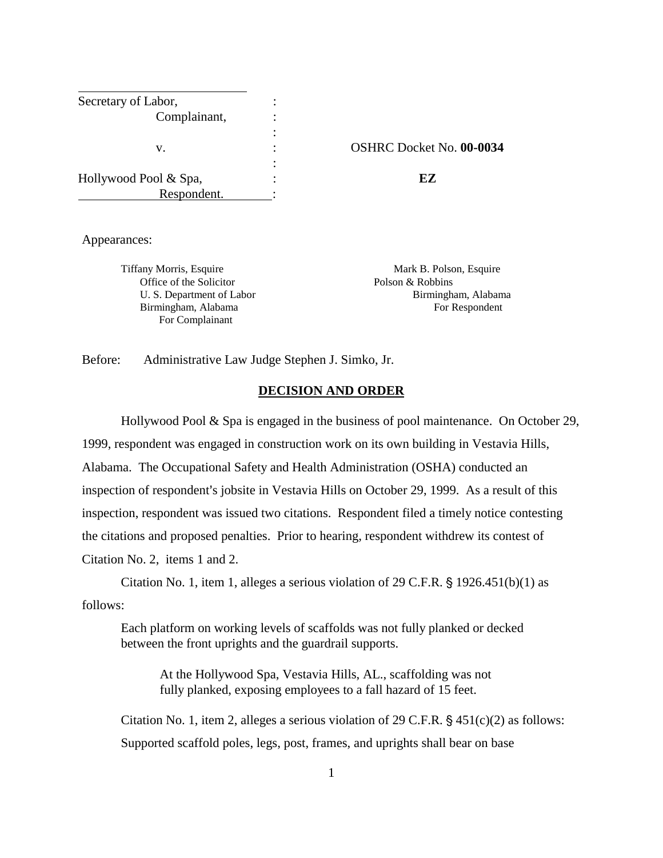| Secretary of Labor,   |                     |
|-----------------------|---------------------|
| Complainant,          |                     |
|                       |                     |
| v.                    | <b>OSHRC</b> Docket |
|                       |                     |
| Hollywood Pool & Spa, | F.Z                 |
| Respondent.           |                     |

v. : OSHRC Docket No. **00-0034**

Appearances:

Tiffany Morris, Esquire **Mark B. Polson, Esquire** Mark B. Polson, Esquire Office of the Solicitor Polson & Robbins For Complainant

U. S. Department of Labor Birmingham, Alabama Birmingham, Alabama For Respondent

Before: Administrative Law Judge Stephen J. Simko, Jr.

#### **DECISION AND ORDER**

 Hollywood Pool & Spa is engaged in the business of pool maintenance. On October 29, 1999, respondent was engaged in construction work on its own building in Vestavia Hills, Alabama. The Occupational Safety and Health Administration (OSHA) conducted an inspection of respondent's jobsite in Vestavia Hills on October 29, 1999. As a result of this inspection, respondent was issued two citations. Respondent filed a timely notice contesting the citations and proposed penalties. Prior to hearing, respondent withdrew its contest of Citation No. 2, items 1 and 2.

Citation No. 1, item 1, alleges a serious violation of 29 C.F.R.  $\S$  1926.451(b)(1) as follows:

Each platform on working levels of scaffolds was not fully planked or decked between the front uprights and the guardrail supports.

At the Hollywood Spa, Vestavia Hills, AL., scaffolding was not fully planked, exposing employees to a fall hazard of 15 feet.

Citation No. 1, item 2, alleges a serious violation of 29 C.F.R.  $\S$  451(c)(2) as follows: Supported scaffold poles, legs, post, frames, and uprights shall bear on base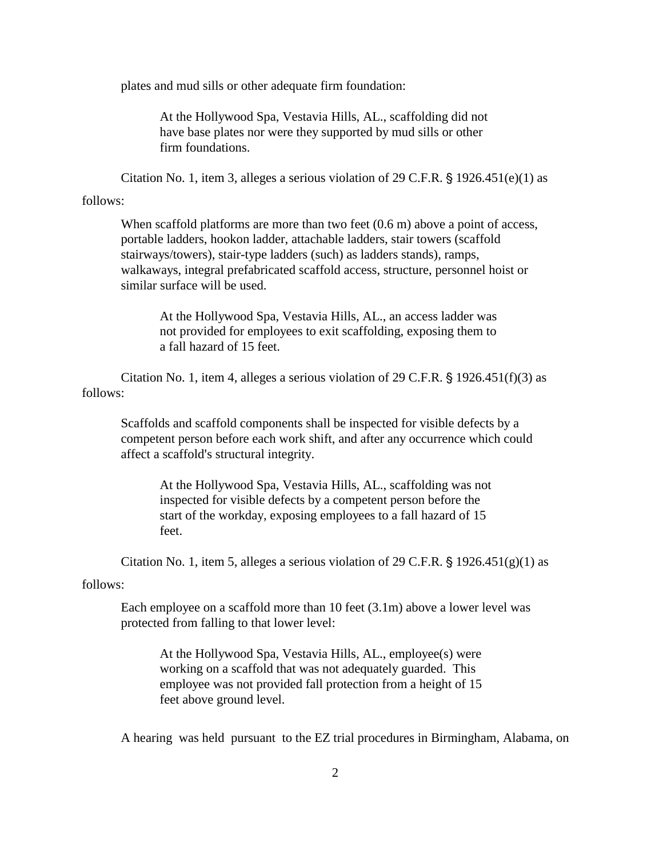plates and mud sills or other adequate firm foundation:

At the Hollywood Spa, Vestavia Hills, AL., scaffolding did not have base plates nor were they supported by mud sills or other firm foundations.

Citation No. 1, item 3, alleges a serious violation of 29 C.F.R.  $\S$  1926.451(e)(1) as

#### follows:

When scaffold platforms are more than two feet  $(0.6 \text{ m})$  above a point of access, portable ladders, hookon ladder, attachable ladders, stair towers (scaffold stairways/towers), stair-type ladders (such) as ladders stands), ramps, walkaways, integral prefabricated scaffold access, structure, personnel hoist or similar surface will be used.

At the Hollywood Spa, Vestavia Hills, AL., an access ladder was not provided for employees to exit scaffolding, exposing them to a fall hazard of 15 feet.

Citation No. 1, item 4, alleges a serious violation of 29 C.F.R.  $\S$  1926.451(f)(3) as follows:

Scaffolds and scaffold components shall be inspected for visible defects by a competent person before each work shift, and after any occurrence which could affect a scaffold's structural integrity.

At the Hollywood Spa, Vestavia Hills, AL., scaffolding was not inspected for visible defects by a competent person before the start of the workday, exposing employees to a fall hazard of 15 feet.

Citation No. 1, item 5, alleges a serious violation of 29 C.F.R.  $\S$  1926.451(g)(1) as

#### follows:

Each employee on a scaffold more than 10 feet (3.1m) above a lower level was protected from falling to that lower level:

At the Hollywood Spa, Vestavia Hills, AL., employee(s) were working on a scaffold that was not adequately guarded. This employee was not provided fall protection from a height of 15 feet above ground level.

A hearing was held pursuant to the EZ trial procedures in Birmingham, Alabama, on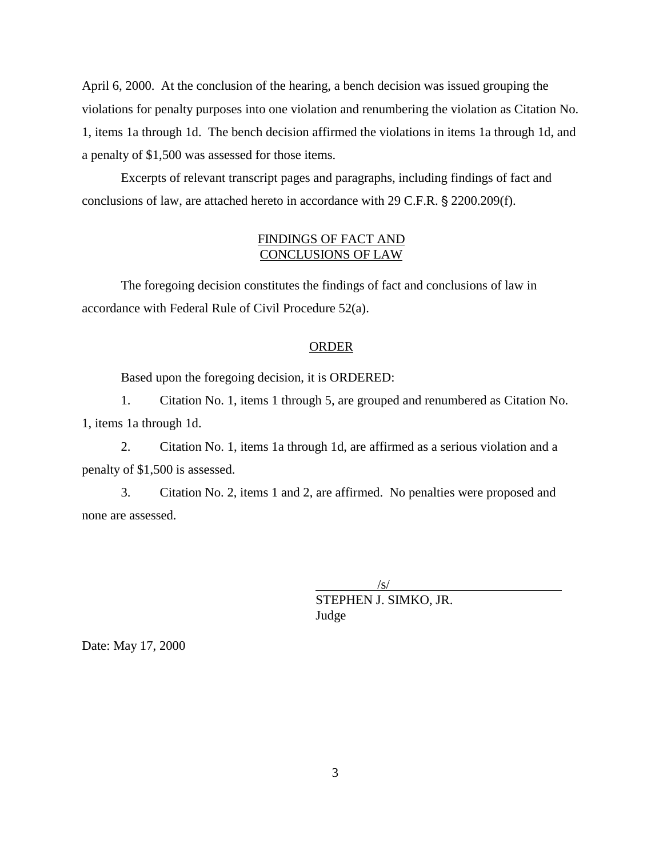April 6, 2000. At the conclusion of the hearing, a bench decision was issued grouping the violations for penalty purposes into one violation and renumbering the violation as Citation No. 1, items 1a through 1d. The bench decision affirmed the violations in items 1a through 1d, and a penalty of \$1,500 was assessed for those items.

Excerpts of relevant transcript pages and paragraphs, including findings of fact and conclusions of law, are attached hereto in accordance with 29 C.F.R. § 2200.209(f).

### FINDINGS OF FACT AND CONCLUSIONS OF LAW

The foregoing decision constitutes the findings of fact and conclusions of law in accordance with Federal Rule of Civil Procedure 52(a).

#### **ORDER**

Based upon the foregoing decision, it is ORDERED:

1. Citation No. 1, items 1 through 5, are grouped and renumbered as Citation No. 1, items 1a through 1d.

2. Citation No. 1, items 1a through 1d, are affirmed as a serious violation and a penalty of \$1,500 is assessed.

3. Citation No. 2, items 1 and 2, are affirmed. No penalties were proposed and none are assessed.

> $\sqrt{s}$ / STEPHEN J. SIMKO, JR. Judge

Date: May 17, 2000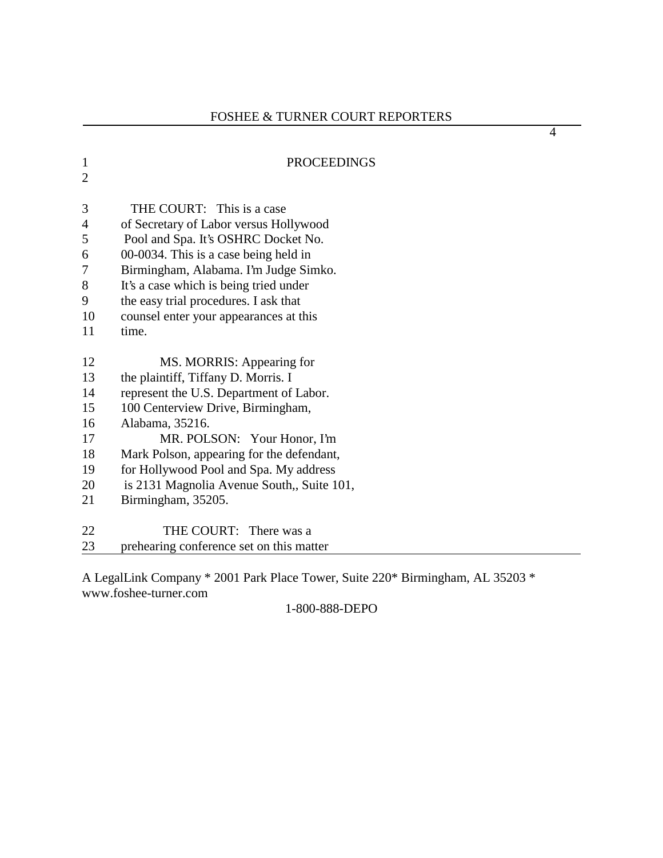| $\mathbf{1}$   | <b>PROCEEDINGS</b>                        |
|----------------|-------------------------------------------|
| $\overline{2}$ |                                           |
|                |                                           |
| 3              | THE COURT: This is a case                 |
| $\overline{4}$ | of Secretary of Labor versus Hollywood    |
| 5              | Pool and Spa. It's OSHRC Docket No.       |
| 6              | 00-0034. This is a case being held in     |
| 7              | Birmingham, Alabama. I'm Judge Simko.     |
| 8              | It's a case which is being tried under    |
| 9              | the easy trial procedures. I ask that     |
| 10             | counsel enter your appearances at this    |
| 11             | time.                                     |
|                |                                           |
| 12             | MS. MORRIS: Appearing for                 |
| 13             | the plaintiff, Tiffany D. Morris. I       |
| 14             | represent the U.S. Department of Labor.   |
| 15             | 100 Centerview Drive, Birmingham,         |
| 16             | Alabama, 35216.                           |
| 17             | MR. POLSON: Your Honor, I'm               |
| 18             | Mark Polson, appearing for the defendant, |
| 19             | for Hollywood Pool and Spa. My address    |
| 20             | is 2131 Magnolia Avenue South, Suite 101, |
| 21             | Birmingham, 35205.                        |
| 22             | THE COURT: There was a                    |
|                |                                           |
| 23             | prehearing conference set on this matter  |

A LegalLink Company \* 2001 Park Place Tower, Suite 220\* Birmingham, AL 35203 \* www.foshee-turner.com

1-800-888-DEPO

4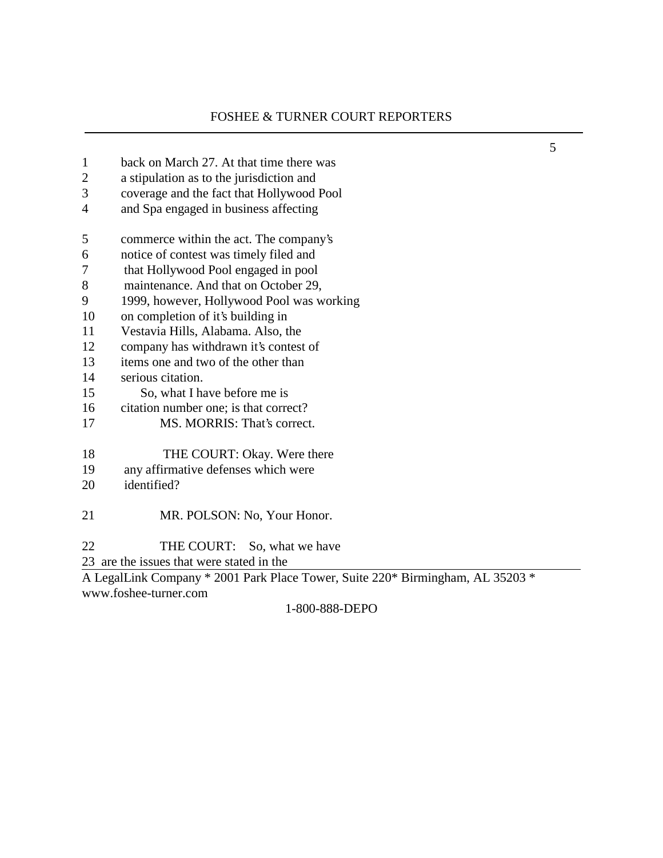5

| $\mathbf{1}$                                                                   | back on March 27. At that time there was  |  |
|--------------------------------------------------------------------------------|-------------------------------------------|--|
| $\overline{2}$                                                                 | a stipulation as to the jurisdiction and  |  |
| 3                                                                              | coverage and the fact that Hollywood Pool |  |
| $\overline{4}$                                                                 | and Spa engaged in business affecting     |  |
| 5                                                                              | commerce within the act. The company's    |  |
| 6                                                                              | notice of contest was timely filed and    |  |
| 7                                                                              | that Hollywood Pool engaged in pool       |  |
| 8                                                                              | maintenance. And that on October 29,      |  |
| 9                                                                              | 1999, however, Hollywood Pool was working |  |
| 10                                                                             | on completion of it's building in         |  |
| 11                                                                             | Vestavia Hills, Alabama. Also, the        |  |
| 12                                                                             | company has withdrawn it's contest of     |  |
| 13                                                                             | items one and two of the other than       |  |
| 14                                                                             | serious citation.                         |  |
| 15                                                                             | So, what I have before me is              |  |
| 16                                                                             | citation number one; is that correct?     |  |
| 17                                                                             | MS. MORRIS: That's correct.               |  |
| 18                                                                             | THE COURT: Okay. Were there               |  |
| 19                                                                             | any affirmative defenses which were       |  |
| 20                                                                             | identified?                               |  |
| 21                                                                             | MR. POLSON: No, Your Honor.               |  |
| 22                                                                             | THE COURT: So, what we have               |  |
|                                                                                | 23 are the issues that were stated in the |  |
| A LegalLink Company * 2001 Park Place Tower, Suite 220* Birmingham, AL 35203 * |                                           |  |
|                                                                                | www.foshee-turner.com                     |  |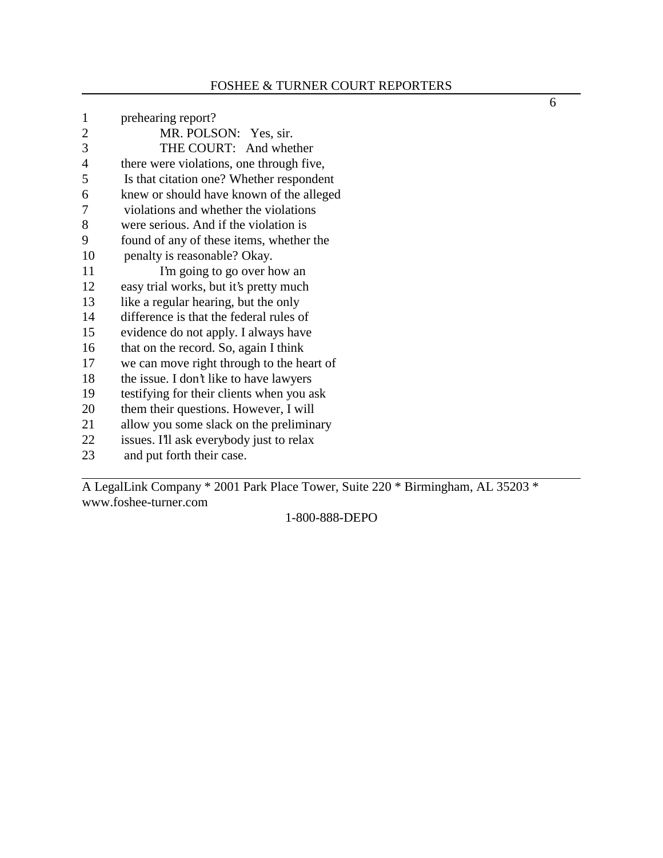| $\mathbf{1}$   | prehearing report?                        |
|----------------|-------------------------------------------|
| $\overline{2}$ | MR. POLSON: Yes, sir.                     |
| 3              | THE COURT: And whether                    |
| 4              | there were violations, one through five,  |
| 5              | Is that citation one? Whether respondent  |
| 6              | knew or should have known of the alleged  |
| 7              | violations and whether the violations     |
| 8              | were serious. And if the violation is     |
| 9              | found of any of these items, whether the  |
| 10             | penalty is reasonable? Okay.              |
| 11             | I'm going to go over how an               |
| 12             | easy trial works, but it's pretty much    |
| 13             | like a regular hearing, but the only      |
| 14             | difference is that the federal rules of   |
| 15             | evidence do not apply. I always have      |
| 16             | that on the record. So, again I think     |
| 17             | we can move right through to the heart of |
| 18             | the issue. I don't like to have lawyers   |
| 19             | testifying for their clients when you ask |
| 20             | them their questions. However, I will     |
| 21             | allow you some slack on the preliminary   |
| 22             | issues. I'll ask everybody just to relax  |
| 23             | and put forth their case.                 |

A LegalLink Company \* 2001 Park Place Tower, Suite 220 \* Birmingham, AL 35203 \* www.foshee-turner.com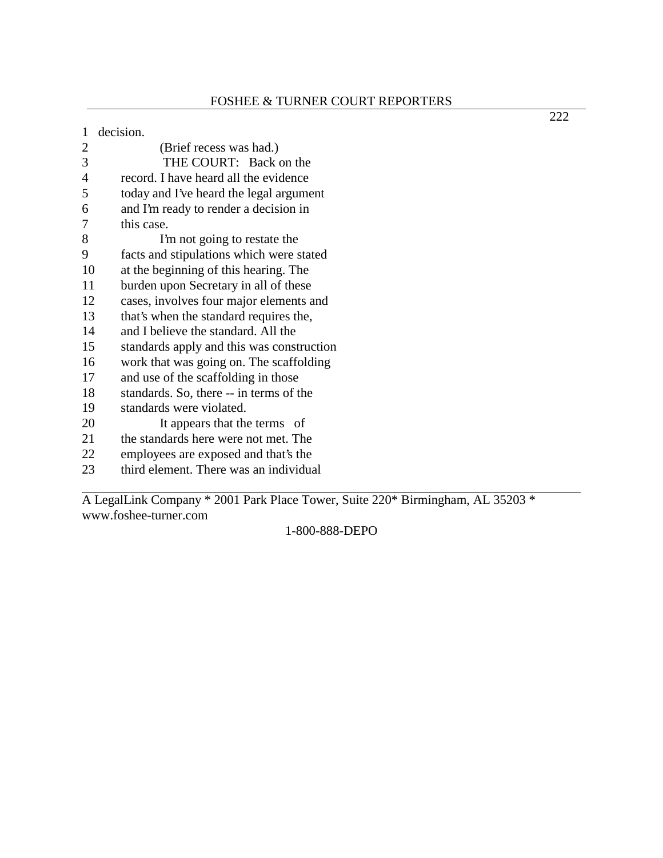| 1              | decision.                                 |
|----------------|-------------------------------------------|
| $\overline{2}$ | (Brief recess was had.)                   |
| 3              | THE COURT: Back on the                    |
| $\overline{4}$ | record. I have heard all the evidence     |
| 5              | today and I've heard the legal argument   |
| 6              | and I'm ready to render a decision in     |
| 7              | this case.                                |
| 8              | I'm not going to restate the              |
| 9              | facts and stipulations which were stated  |
| 10             | at the beginning of this hearing. The     |
| 11             | burden upon Secretary in all of these     |
| 12             | cases, involves four major elements and   |
| 13             | that's when the standard requires the,    |
| 14             | and I believe the standard. All the       |
| 15             | standards apply and this was construction |
| 16             | work that was going on. The scaffolding   |
| 17             | and use of the scaffolding in those       |
| 18             | standards. So, there -- in terms of the   |
| 19             | standards were violated.                  |
| 20             | It appears that the terms of              |
| 21             | the standards here were not met. The      |
| 22             | employees are exposed and that's the      |
| 23             | third element. There was an individual    |

A LegalLink Company \* 2001 Park Place Tower, Suite 220\* Birmingham, AL 35203 \* www.foshee-turner.com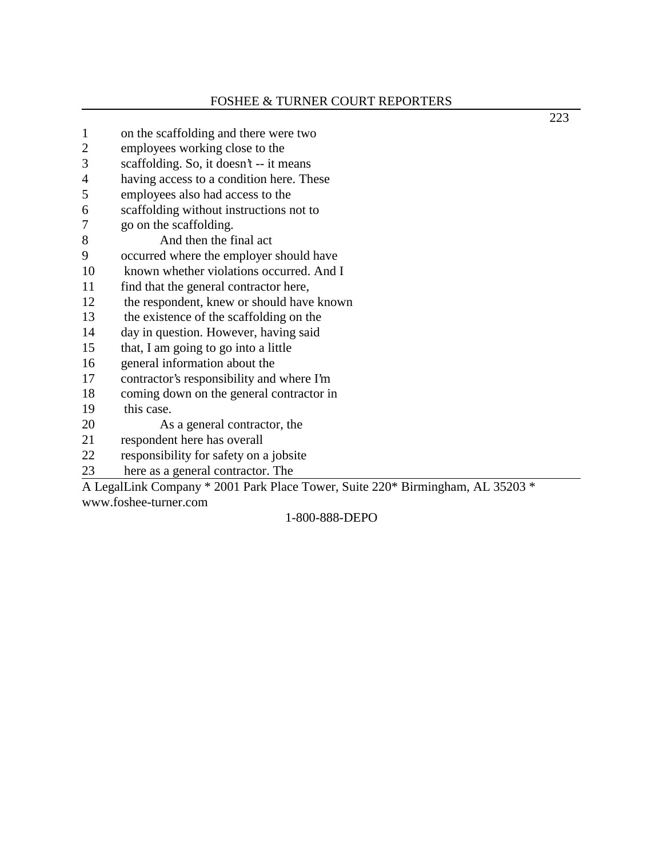# FOSHEE & TURNER COURT REPORTERS

| $\mathbf{1}$   | on the scaffolding and there were two     |
|----------------|-------------------------------------------|
| $\overline{c}$ | employees working close to the            |
| 3              | scaffolding. So, it doesn't -- it means   |
| 4              | having access to a condition here. These  |
| 5              | employees also had access to the          |
| 6              | scaffolding without instructions not to   |
| 7              | go on the scaffolding.                    |
| 8              | And then the final act                    |
| 9              | occurred where the employer should have   |
| 10             | known whether violations occurred. And I  |
| 11             | find that the general contractor here,    |
| 12             | the respondent, knew or should have known |
| 13             | the existence of the scaffolding on the   |
| 14             | day in question. However, having said     |
| 15             | that, I am going to go into a little      |
| 16             | general information about the             |
| 17             | contractor's responsibility and where I'm |
| 18             | coming down on the general contractor in  |
| 19             | this case.                                |
| 20             | As a general contractor, the              |
| 21             | respondent here has overall               |
| 22             | responsibility for safety on a jobsite    |
| 23             | here as a general contractor. The         |

A LegalLink Company \* 2001 Park Place Tower, Suite 220\* Birmingham, AL 35203 \* www.foshee-turner.com

# 1-800-888-DEPO

223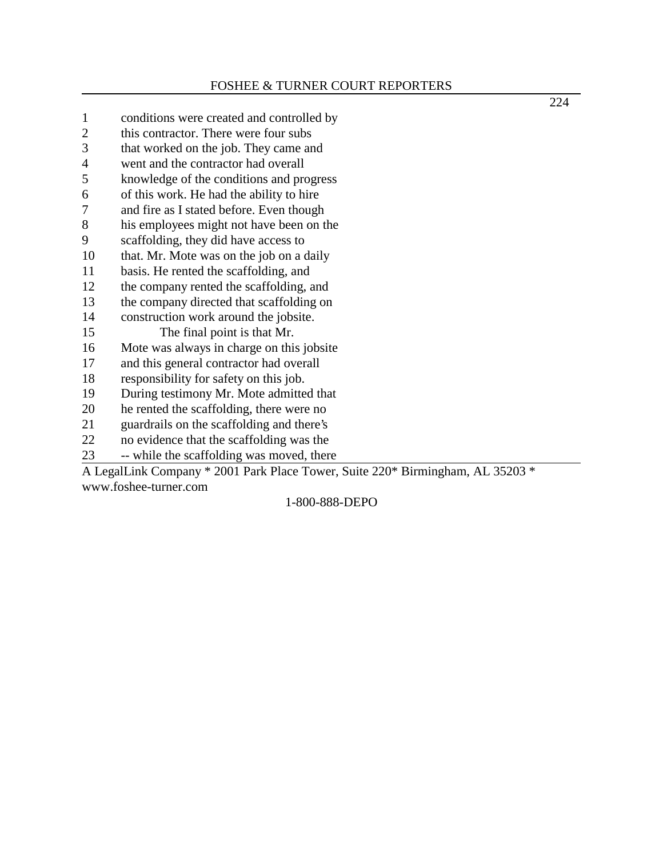#### FOSHEE & TURNER COURT REPORTERS

224

1 conditions were created and controlled by 2 this contractor. There were four subs 3 that worked on the job. They came and 4 went and the contractor had overall 5 knowledge of the conditions and progress 6 of this work. He had the ability to hire 7 and fire as I stated before. Even though 8 his employees might not have been on the 9 scaffolding, they did have access to 10 that. Mr. Mote was on the job on a daily 11 basis. He rented the scaffolding, and 12 the company rented the scaffolding, and 13 the company directed that scaffolding on 14 construction work around the jobsite. 15 The final point is that Mr. 16 Mote was always in charge on this jobsite 17 and this general contractor had overall 18 responsibility for safety on this job. 19 During testimony Mr. Mote admitted that 20 he rented the scaffolding, there were no 21 guardrails on the scaffolding and there's 22 no evidence that the scaffolding was the 23 -- while the scaffolding was moved, there A LegalLink Company \* 2001 Park Place Tower, Suite 220\* Birmingham, AL 35203 \* www.foshee-turner.com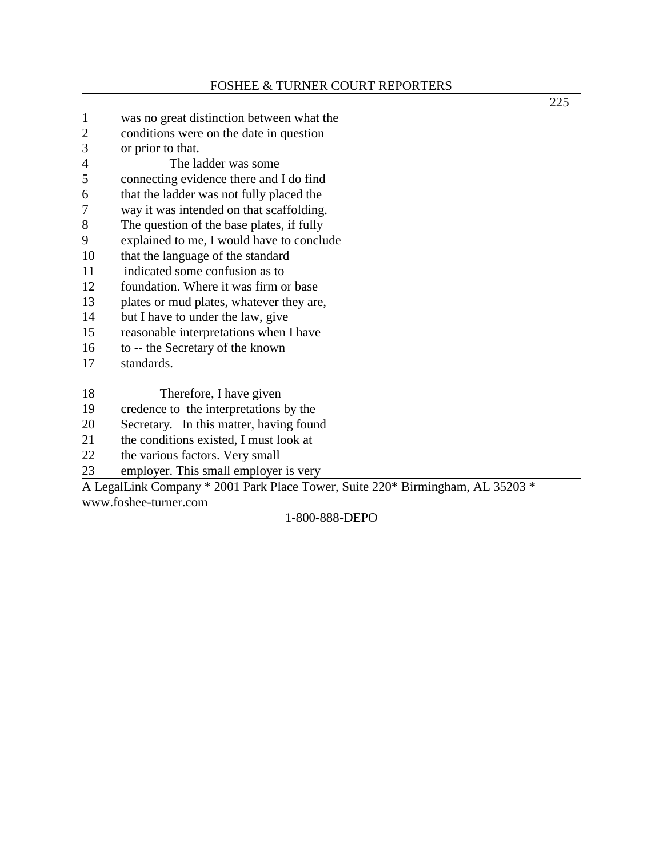- 1 was no great distinction between what the
- 2 conditions were on the date in question
- 3 or prior to that.
- 4 The ladder was some
- 5 connecting evidence there and I do find
- 6 that the ladder was not fully placed the
- 7 way it was intended on that scaffolding.
- 8 The question of the base plates, if fully
- 9 explained to me, I would have to conclude
- 10 that the language of the standard
- 11 indicated some confusion as to
- 12 foundation. Where it was firm or base
- 13 plates or mud plates, whatever they are,
- 14 but I have to under the law, give
- 15 reasonable interpretations when I have
- 16 to -- the Secretary of the known
- 17 standards.
- 18 Therefore, I have given
- 19 credence to the interpretations by the
- 20 Secretary. In this matter, having found
- 21 the conditions existed, I must look at  $22$  the various factors. Very small
- the various factors. Very small
- 23 employer. This small employer is very

A LegalLink Company \* 2001 Park Place Tower, Suite 220\* Birmingham, AL 35203 \* www.foshee-turner.com

### 1-800-888-DEPO

225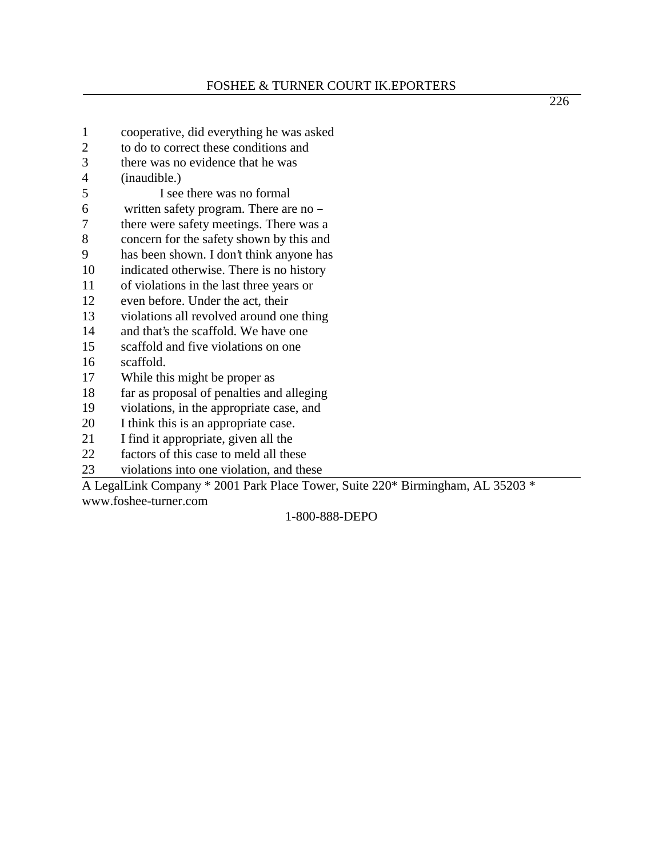226

- 1 cooperative, did everything he was asked
- 2 to do to correct these conditions and
- 3 there was no evidence that he was
- 4 (inaudible.)
- 5 I see there was no formal
- 6 written safety program. There are no  $-$
- 7 there were safety meetings. There was a
- 8 concern for the safety shown by this and
- 9 has been shown. I don't think anyone has
- 10 indicated otherwise. There is no history
- 11 of violations in the last three years or
- 12 even before. Under the act, their
- 13 violations all revolved around one thing
- 14 and that's the scaffold. We have one
- 15 scaffold and five violations on one
- 16 scaffold.
- 17 While this might be proper as
- 18 far as proposal of penalties and alleging
- 19 violations, in the appropriate case, and
- 20 I think this is an appropriate case.
- 21 I find it appropriate, given all the
- 22 factors of this case to meld all these
- 23 violations into one violation, and these

A LegalLink Company \* 2001 Park Place Tower, Suite 220\* Birmingham, AL 35203 \* www.foshee-turner.com